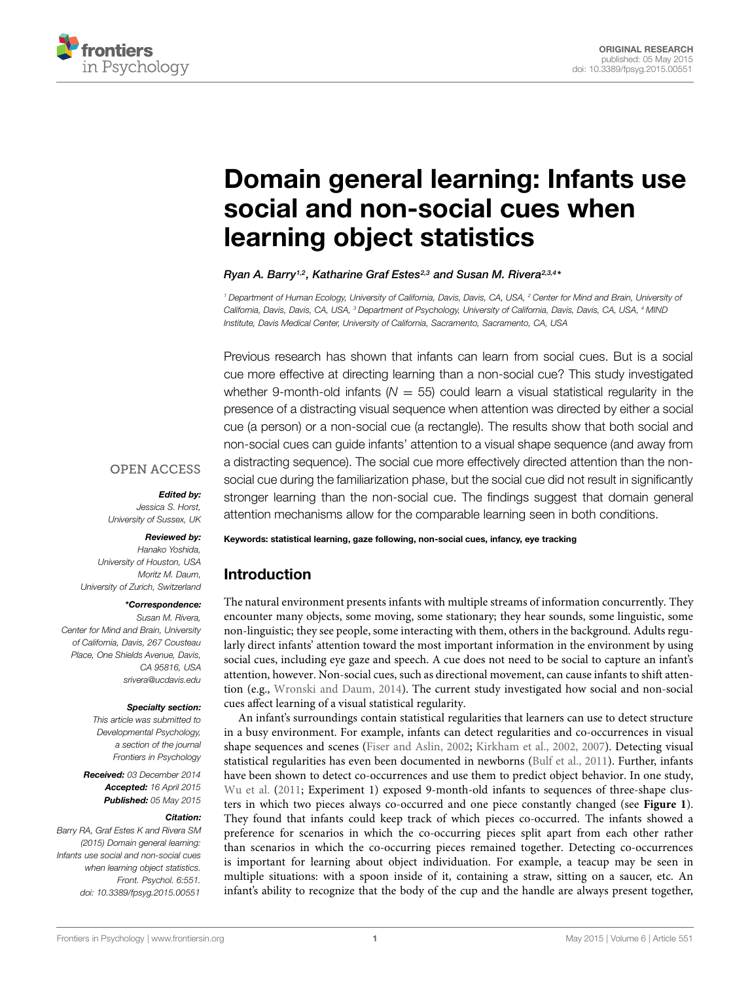

# [Domain general learning: Infants use](http://journal.frontiersin.org/article/10.3389/fpsyg.2015.00551/abstract) social and non-social cues when learning object statistics

*[Ryan A. Barry1](http://community.frontiersin.org/people/u/192498),2, [Katharine Graf Estes2](http://community.frontiersin.org/people/u/13869),3 and [Susan M. Rivera2](http://community.frontiersin.org/people/u/7077),3,4\**

*<sup>1</sup> Department of Human Ecology, University of California, Davis, Davis, CA, USA, <sup>2</sup> Center for Mind and Brain, University of California, Davis, Davis, CA, USA, <sup>3</sup> Department of Psychology, University of California, Davis, Davis, CA, USA, <sup>4</sup> MIND Institute, Davis Medical Center, University of California, Sacramento, Sacramento, CA, USA*

Previous research has shown that infants can learn from social cues. But is a social cue more effective at directing learning than a non-social cue? This study investigated whether 9-month-old infants ( $N = 55$ ) could learn a visual statistical regularity in the presence of a distracting visual sequence when attention was directed by either a social cue (a person) or a non-social cue (a rectangle). The results show that both social and non-social cues can guide infants' attention to a visual shape sequence (and away from a distracting sequence). The social cue more effectively directed attention than the nonsocial cue during the familiarization phase, but the social cue did not result in significantly stronger learning than the non-social cue. The findings suggest that domain general attention mechanisms allow for the comparable learning seen in both conditions.

## **OPEN ACCESS**

#### *Edited by:*

*Jessica S. Horst, University of Sussex, UK*

#### *Reviewed by:*

*Hanako Yoshida, University of Houston, USA Moritz M. Daum, University of Zurich, Switzerland*

#### *\*Correspondence:*

*Susan M. Rivera, Center for Mind and Brain, University of California, Davis, 267 Cousteau Place, One Shields Avenue, Davis, CA 95816, USA srivera@ucdavis.edu*

#### *Specialty section:*

*This article was submitted to Developmental Psychology, a section of the journal Frontiers in Psychology*

*Received: 03 December 2014 Accepted: 16 April 2015 Published: 05 May 2015*

#### *Citation:*

*Barry RA, Graf Estes K and Rivera SM (2015) Domain general learning: Infants use social and non-social cues when learning object statistics. Front. Psychol. 6:551. doi: [10.3389/fpsyg.2015.00551](http://dx.doi.org/10.3389/fpsyg.2015.00551)*

Keywords: statistical learning, gaze following, non-social cues, infancy, eye tracking

# Introduction

The natural environment presents infants with multiple streams of information concurrently. They encounter many objects, some moving, some stationary; they hear sounds, some linguistic, some non-linguistic; they see people, some interacting with them, others in the background. Adults regularly direct infants' attention toward the most important information in the environment by using social cues, including eye gaze and speech. A cue does not need to be social to capture an infant's attention, however. Non-social cues, such as directional movement, can cause infants to shift attention (e.g., [Wronski and Daum](#page-9-0), [2014\)](#page-9-0). The current study investigated how social and non-social cues affect learning of a visual statistical regularity.

An infant's surroundings contain statistical regularities that learners can use to detect structure in a busy environment. For example, infants can detect regularities and co-occurrences in visual shape sequences and scenes [\(Fiser and Aslin, 2002;](#page-8-0) [Kirkham et al., 2002,](#page-9-1) [2007](#page-9-2)). Detecting visual statistical regularities has even been documented in newborns [\(Bulf et al., 2011\)](#page-8-1). Further, infants have been shown to detect co-occurrences and use them to predict object behavior. In one study, [Wu et al.](#page-9-3) [\(2011](#page-9-3); Experiment 1) exposed 9-month-old infants to sequences of three-shape clusters in which two pieces always co-occurred and one piece constantly changed (see **[Figure 1](#page-1-0)**). They found that infants could keep track of which pieces co-occurred. The infants showed a preference for scenarios in which the co-occurring pieces split apart from each other rather than scenarios in which the co-occurring pieces remained together. Detecting co-occurrences is important for learning about object individuation. For example, a teacup may be seen in multiple situations: with a spoon inside of it, containing a straw, sitting on a saucer, etc. An infant's ability to recognize that the body of the cup and the handle are always present together,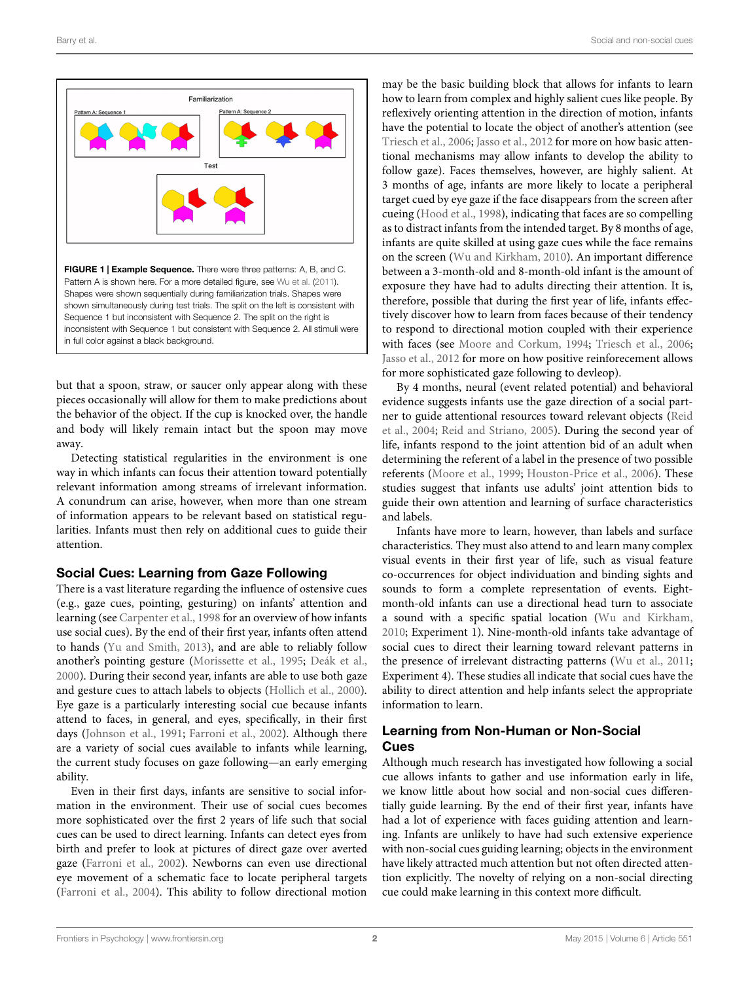

<span id="page-1-0"></span>but that a spoon, straw, or saucer only appear along with these pieces occasionally will allow for them to make predictions about the behavior of the object. If the cup is knocked over, the handle and body will likely remain intact but the spoon may move away.

Detecting statistical regularities in the environment is one way in which infants can focus their attention toward potentially relevant information among streams of irrelevant information. A conundrum can arise, however, when more than one stream of information appears to be relevant based on statistical regularities. Infants must then rely on additional cues to guide their attention.

# Social Cues: Learning from Gaze Following

There is a vast literature regarding the influence of ostensive cues (e.g., gaze cues, pointing, gesturing) on infants' attention and learning (see [Carpenter et al., 1998](#page-8-2) for an overview of how infants use social cues). By the end of their first year, infants often attend to hands [\(Yu and Smith, 2013](#page-9-4)), and are able to reliably follow another's pointing gesture [\(Morissette et al., 1995;](#page-9-5) [Deák et al.](#page-8-3), [2000](#page-8-3)). During their second year, infants are able to use both gaze and gesture cues to attach labels to objects [\(Hollich et al.](#page-8-4), [2000](#page-8-4)). Eye gaze is a particularly interesting social cue because infants attend to faces, in general, and eyes, specifically, in their first days [\(Johnson et al., 1991](#page-9-6); [Farroni et al., 2002](#page-8-5)). Although there are a variety of social cues available to infants while learning, the current study focuses on gaze following—an early emerging ability.

Even in their first days, infants are sensitive to social information in the environment. Their use of social cues becomes more sophisticated over the first 2 years of life such that social cues can be used to direct learning. Infants can detect eyes from birth and prefer to look at pictures of direct gaze over averted gaze [\(Farroni et al., 2002\)](#page-8-5). Newborns can even use directional eye movement of a schematic face to locate peripheral targets [\(Farroni et al.](#page-8-6), [2004](#page-8-6)). This ability to follow directional motion

may be the basic building block that allows for infants to learn how to learn from complex and highly salient cues like people. By reflexively orienting attention in the direction of motion, infants have the potential to locate the object of another's attention (see [Triesch et al., 2006](#page-9-7); [Jasso et al., 2012](#page-9-8) for more on how basic attentional mechanisms may allow infants to develop the ability to follow gaze). Faces themselves, however, are highly salient. At 3 months of age, infants are more likely to locate a peripheral target cued by eye gaze if the face disappears from the screen after cueing [\(Hood et al., 1998](#page-8-7)), indicating that faces are so compelling as to distract infants from the intended target. By 8 months of age, infants are quite skilled at using gaze cues while the face remains on the screen [\(Wu and Kirkham](#page-9-9), [2010\)](#page-9-9). An important difference between a 3-month-old and 8-month-old infant is the amount of exposure they have had to adults directing their attention. It is, therefore, possible that during the first year of life, infants effectively discover how to learn from faces because of their tendency to respond to directional motion coupled with their experience with faces (see [Moore and Corkum, 1994](#page-9-10); [Triesch et al.](#page-9-7), [2006](#page-9-7); [Jasso et al.](#page-9-8), [2012](#page-9-8) for more on how positive reinforecement allows for more sophisticated gaze following to devleop).

By 4 months, neural (event related potential) and behavioral evidence suggests infants use the gaze direction of a social partner t[o](#page-9-11) [guide](#page-9-11) [attentional](#page-9-11) [resources](#page-9-11) [toward](#page-9-11) [relevant](#page-9-11) [objects](#page-9-11) [\(](#page-9-11)Reid et al., [2004](#page-9-11); [Reid and Striano](#page-9-12), [2005\)](#page-9-12). During the second year of life, infants respond to the joint attention bid of an adult when determining the referent of a label in the presence of two possible referents [\(Moore et al.](#page-9-13), [1999](#page-9-13); [Houston-Price et al.](#page-9-14), [2006](#page-9-14)). These studies suggest that infants use adults' joint attention bids to guide their own attention and learning of surface characteristics and labels.

Infants have more to learn, however, than labels and surface characteristics. They must also attend to and learn many complex visual events in their first year of life, such as visual feature co-occurrences for object individuation and binding sights and sounds to form a complete representation of events. Eightmonth-old infants can use a directional head turn to associate a sound with a specific spatial location [\(Wu and Kirkham](#page-9-9), [2010;](#page-9-9) Experiment 1). Nine-month-old infants take advantage of social cues to direct their learning toward relevant patterns in the presence of irrelevant distracting patterns [\(Wu et al.](#page-9-3), [2011](#page-9-3); Experiment 4). These studies all indicate that social cues have the ability to direct attention and help infants select the appropriate information to learn.

# Learning from Non-Human or Non-Social Cues

Although much research has investigated how following a social cue allows infants to gather and use information early in life, we know little about how social and non-social cues differentially guide learning. By the end of their first year, infants have had a lot of experience with faces guiding attention and learning. Infants are unlikely to have had such extensive experience with non-social cues guiding learning; objects in the environment have likely attracted much attention but not often directed attention explicitly. The novelty of relying on a non-social directing cue could make learning in this context more difficult.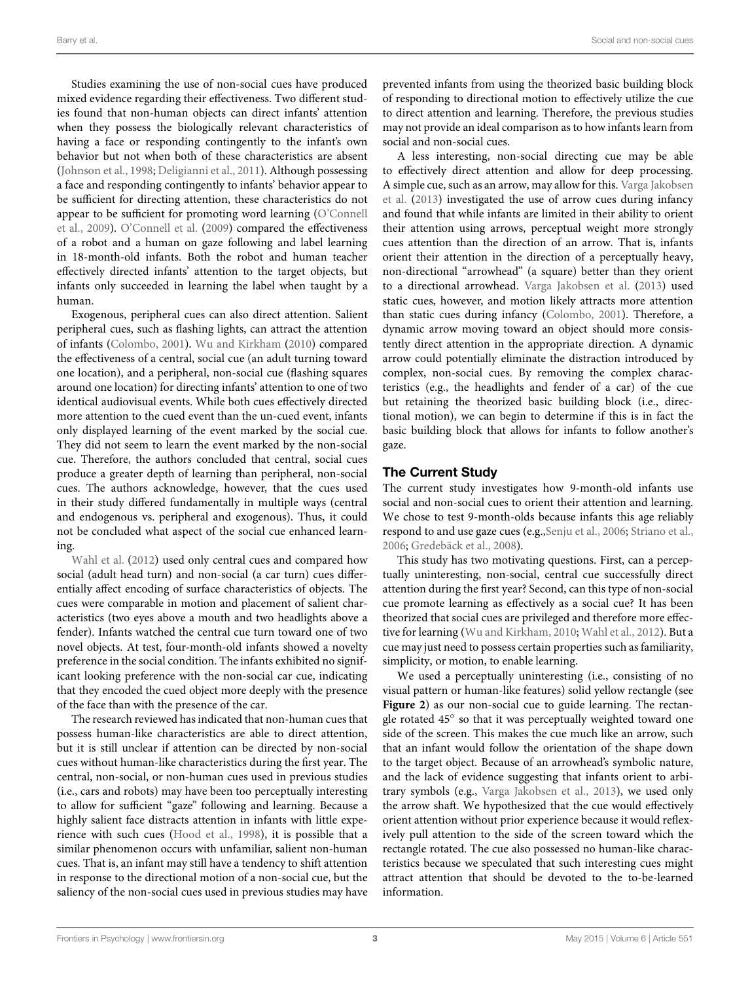Studies examining the use of non-social cues have produced mixed evidence regarding their effectiveness. Two different studies found that non-human objects can direct infants' attention when they possess the biologically relevant characteristics of having a face or responding contingently to the infant's own behavior but not when both of these characteristics are absent [\(Johnson et al.](#page-9-15), [1998](#page-9-15); [Deligianni et al., 2011\)](#page-8-8). Although possessing a face and responding contingently to infants' behavior appear to be sufficient for directing attention, these characteristics do not appe[ar to be sufficient for promoting word learning \(](#page-9-16)O'Connell et al., [2009](#page-9-16)). [O'Connell et al.](#page-9-16) [\(2009\)](#page-9-16) compared the effectiveness of a robot and a human on gaze following and label learning in 18-month-old infants. Both the robot and human teacher effectively directed infants' attention to the target objects, but infants only succeeded in learning the label when taught by a human.

Exogenous, peripheral cues can also direct attention. Salient peripheral cues, such as flashing lights, can attract the attention of infants [\(Colombo, 2001\)](#page-8-9). [Wu and Kirkham](#page-9-9) [\(2010](#page-9-9)) compared the effectiveness of a central, social cue (an adult turning toward one location), and a peripheral, non-social cue (flashing squares around one location) for directing infants' attention to one of two identical audiovisual events. While both cues effectively directed more attention to the cued event than the un-cued event, infants only displayed learning of the event marked by the social cue. They did not seem to learn the event marked by the non-social cue. Therefore, the authors concluded that central, social cues produce a greater depth of learning than peripheral, non-social cues. The authors acknowledge, however, that the cues used in their study differed fundamentally in multiple ways (central and endogenous vs. peripheral and exogenous). Thus, it could not be concluded what aspect of the social cue enhanced learning.

[Wahl et al.](#page-9-17) [\(2012\)](#page-9-17) used only central cues and compared how social (adult head turn) and non-social (a car turn) cues differentially affect encoding of surface characteristics of objects. The cues were comparable in motion and placement of salient characteristics (two eyes above a mouth and two headlights above a fender). Infants watched the central cue turn toward one of two novel objects. At test, four-month-old infants showed a novelty preference in the social condition. The infants exhibited no significant looking preference with the non-social car cue, indicating that they encoded the cued object more deeply with the presence of the face than with the presence of the car.

The research reviewed has indicated that non-human cues that possess human-like characteristics are able to direct attention, but it is still unclear if attention can be directed by non-social cues without human-like characteristics during the first year. The central, non-social, or non-human cues used in previous studies (i.e., cars and robots) may have been too perceptually interesting to allow for sufficient "gaze" following and learning. Because a highly salient face distracts attention in infants with little experience with such cues [\(Hood et al., 1998\)](#page-8-7), it is possible that a similar phenomenon occurs with unfamiliar, salient non-human cues. That is, an infant may still have a tendency to shift attention in response to the directional motion of a non-social cue, but the saliency of the non-social cues used in previous studies may have

prevented infants from using the theorized basic building block of responding to directional motion to effectively utilize the cue to direct attention and learning. Therefore, the previous studies may not provide an ideal comparison as to how infants learn from social and non-social cues.

A less interesting, non-social directing cue may be able to effectively direct attention and allow for deep processing. A si[mple cue, such as an arrow, may allow for this.](#page-9-18) Varga Jakobsen et al. [\(2013](#page-9-18)) investigated the use of arrow cues during infancy and found that while infants are limited in their ability to orient their attention using arrows, perceptual weight more strongly cues attention than the direction of an arrow. That is, infants orient their attention in the direction of a perceptually heavy, non-directional "arrowhead" (a square) better than they orient to a directional arrowhead. [Varga Jakobsen et al.](#page-9-18) [\(2013\)](#page-9-18) used static cues, however, and motion likely attracts more attention than static cues during infancy [\(Colombo](#page-8-9), [2001\)](#page-8-9). Therefore, a dynamic arrow moving toward an object should more consistently direct attention in the appropriate direction. A dynamic arrow could potentially eliminate the distraction introduced by complex, non-social cues. By removing the complex characteristics (e.g., the headlights and fender of a car) of the cue but retaining the theorized basic building block (i.e., directional motion), we can begin to determine if this is in fact the basic building block that allows for infants to follow another's gaze.

## The Current Study

The current study investigates how 9-month-old infants use social and non-social cues to orient their attention and learning. We chose to test 9-month-olds because infants this age reliably respond to and use gaze cues (e.g.[,Senju et al.](#page-9-19), [2006;](#page-9-19) [Striano et al.](#page-9-20), [2006](#page-9-20); [Gredebäck et al., 2008](#page-8-10)).

This study has two motivating questions. First, can a perceptually uninteresting, non-social, central cue successfully direct attention during the first year? Second, can this type of non-social cue promote learning as effectively as a social cue? It has been theorized that social cues are privileged and therefore more effective for learning [\(Wu and Kirkham](#page-9-9), [2010;](#page-9-9) [Wahl et al., 2012\)](#page-9-17). But a cue may just need to possess certain properties such as familiarity, simplicity, or motion, to enable learning.

We used a perceptually uninteresting (i.e., consisting of no visual pattern or human-like features) solid yellow rectangle (see **[Figure 2](#page-3-0)**) as our non-social cue to guide learning. The rectangle rotated 45◦ so that it was perceptually weighted toward one side of the screen. This makes the cue much like an arrow, such that an infant would follow the orientation of the shape down to the target object. Because of an arrowhead's symbolic nature, and the lack of evidence suggesting that infants orient to arbitrary symbols (e.g., [Varga Jakobsen et al.](#page-9-18), [2013](#page-9-18)), we used only the arrow shaft. We hypothesized that the cue would effectively orient attention without prior experience because it would reflexively pull attention to the side of the screen toward which the rectangle rotated. The cue also possessed no human-like characteristics because we speculated that such interesting cues might attract attention that should be devoted to the to-be-learned information.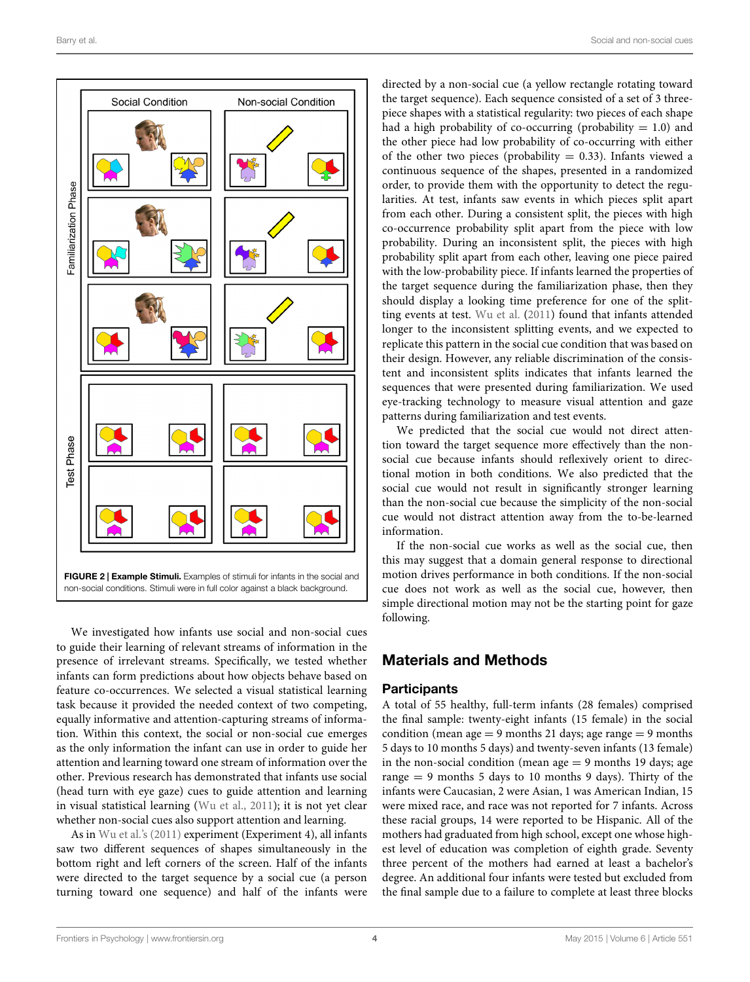

<span id="page-3-0"></span>We investigated how infants use social and non-social cues to guide their learning of relevant streams of information in the presence of irrelevant streams. Specifically, we tested whether infants can form predictions about how objects behave based on feature co-occurrences. We selected a visual statistical learning task because it provided the needed context of two competing, equally informative and attention-capturing streams of information. Within this context, the social or non-social cue emerges as the only information the infant can use in order to guide her attention and learning toward one stream of information over the other. Previous research has demonstrated that infants use social (head turn with eye gaze) cues to guide attention and learning in visual statistical learning [\(Wu et al.](#page-9-3), [2011\)](#page-9-3); it is not yet clear whether non-social cues also support attention and learning.

As in [Wu et al.](#page-9-3)'s [\(2011\)](#page-9-3) experiment (Experiment 4), all infants saw two different sequences of shapes simultaneously in the bottom right and left corners of the screen. Half of the infants were directed to the target sequence by a social cue (a person turning toward one sequence) and half of the infants were

directed by a non-social cue (a yellow rectangle rotating toward the target sequence). Each sequence consisted of a set of 3 threepiece shapes with a statistical regularity: two pieces of each shape had a high probability of co-occurring (probability  $= 1.0$ ) and the other piece had low probability of co-occurring with either of the other two pieces (probability  $= 0.33$ ). Infants viewed a continuous sequence of the shapes, presented in a randomized order, to provide them with the opportunity to detect the regularities. At test, infants saw events in which pieces split apart from each other. During a consistent split, the pieces with high co-occurrence probability split apart from the piece with low probability. During an inconsistent split, the pieces with high probability split apart from each other, leaving one piece paired with the low-probability piece. If infants learned the properties of the target sequence during the familiarization phase, then they should display a looking time preference for one of the splitting events at test. [Wu et al.](#page-9-3) [\(2011](#page-9-3)) found that infants attended longer to the inconsistent splitting events, and we expected to replicate this pattern in the social cue condition that was based on their design. However, any reliable discrimination of the consistent and inconsistent splits indicates that infants learned the sequences that were presented during familiarization. We used eye-tracking technology to measure visual attention and gaze patterns during familiarization and test events.

We predicted that the social cue would not direct attention toward the target sequence more effectively than the nonsocial cue because infants should reflexively orient to directional motion in both conditions. We also predicted that the social cue would not result in significantly stronger learning than the non-social cue because the simplicity of the non-social cue would not distract attention away from the to-be-learned information.

If the non-social cue works as well as the social cue, then this may suggest that a domain general response to directional motion drives performance in both conditions. If the non-social cue does not work as well as the social cue, however, then simple directional motion may not be the starting point for gaze following.

# Materials and Methods

# **Participants**

A total of 55 healthy, full-term infants (28 females) comprised the final sample: twenty-eight infants (15 female) in the social condition (mean age  $= 9$  months 21 days; age range  $= 9$  months 5 days to 10 months 5 days) and twenty-seven infants (13 female) in the non-social condition (mean  $age = 9$  months 19 days; age range  $= 9$  months 5 days to 10 months 9 days). Thirty of the infants were Caucasian, 2 were Asian, 1 was American Indian, 15 were mixed race, and race was not reported for 7 infants. Across these racial groups, 14 were reported to be Hispanic. All of the mothers had graduated from high school, except one whose highest level of education was completion of eighth grade. Seventy three percent of the mothers had earned at least a bachelor's degree. An additional four infants were tested but excluded from the final sample due to a failure to complete at least three blocks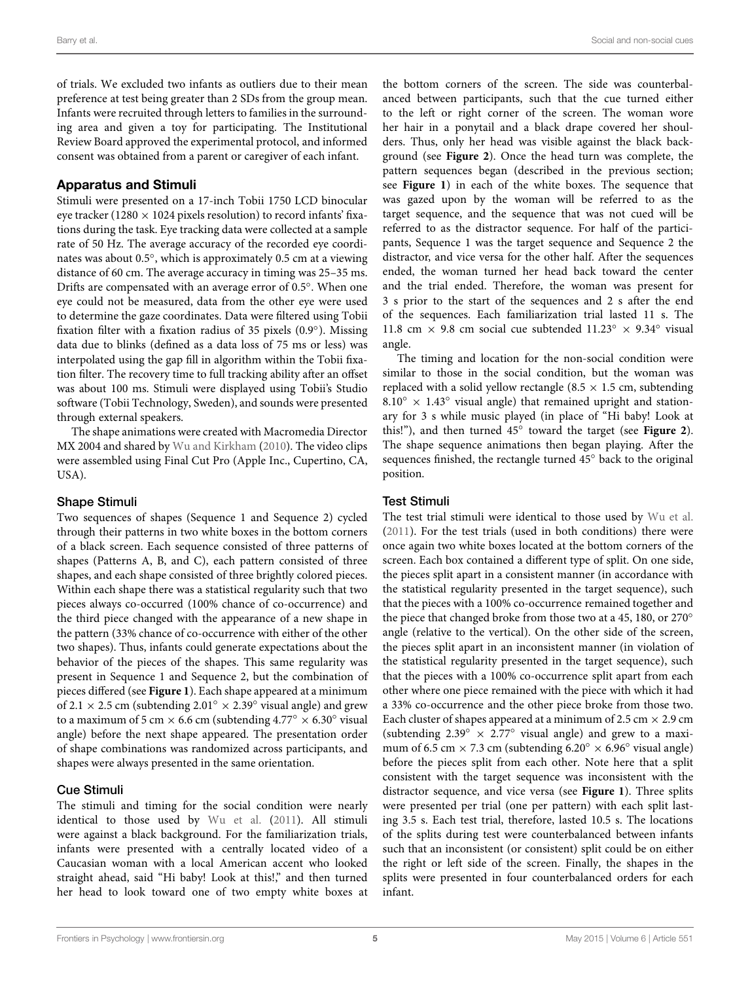of trials. We excluded two infants as outliers due to their mean preference at test being greater than 2 SDs from the group mean. Infants were recruited through letters to families in the surrounding area and given a toy for participating. The Institutional Review Board approved the experimental protocol, and informed consent was obtained from a parent or caregiver of each infant.

## Apparatus and Stimuli

Stimuli were presented on a 17-inch Tobii 1750 LCD binocular eye tracker (1280  $\times$  1024 pixels resolution) to record infants' fixations during the task. Eye tracking data were collected at a sample rate of 50 Hz. The average accuracy of the recorded eye coordinates was about 0.5◦, which is approximately 0.5 cm at a viewing distance of 60 cm. The average accuracy in timing was 25–35 ms. Drifts are compensated with an average error of 0.5◦. When one eye could not be measured, data from the other eye were used to determine the gaze coordinates. Data were filtered using Tobii fixation filter with a fixation radius of 35 pixels (0.9◦). Missing data due to blinks (defined as a data loss of 75 ms or less) was interpolated using the gap fill in algorithm within the Tobii fixation filter. The recovery time to full tracking ability after an offset was about 100 ms. Stimuli were displayed using Tobii's Studio software (Tobii Technology, Sweden), and sounds were presented through external speakers.

The shape animations were created with Macromedia Director MX 2004 and shared by [Wu and Kirkham](#page-9-9) [\(2010](#page-9-9)). The video clips were assembled using Final Cut Pro (Apple Inc., Cupertino, CA, USA).

#### Shape Stimuli

Two sequences of shapes (Sequence 1 and Sequence 2) cycled through their patterns in two white boxes in the bottom corners of a black screen. Each sequence consisted of three patterns of shapes (Patterns A, B, and C), each pattern consisted of three shapes, and each shape consisted of three brightly colored pieces. Within each shape there was a statistical regularity such that two pieces always co-occurred (100% chance of co-occurrence) and the third piece changed with the appearance of a new shape in the pattern (33% chance of co-occurrence with either of the other two shapes). Thus, infants could generate expectations about the behavior of the pieces of the shapes. This same regularity was present in Sequence 1 and Sequence 2, but the combination of pieces differed (see **[Figure 1](#page-1-0)**). Each shape appeared at a minimum of 2.1  $\times$  2.5 cm (subtending 2.01°  $\times$  2.39° visual angle) and grew to a maximum of 5 cm  $\times$  6.6 cm (subtending 4.77°  $\times$  6.30° visual angle) before the next shape appeared. The presentation order of shape combinations was randomized across participants, and shapes were always presented in the same orientation.

### Cue Stimuli

The stimuli and timing for the social condition were nearly identical to those used by [Wu et al.](#page-9-3) [\(2011\)](#page-9-3). All stimuli were against a black background. For the familiarization trials, infants were presented with a centrally located video of a Caucasian woman with a local American accent who looked straight ahead, said "Hi baby! Look at this!," and then turned her head to look toward one of two empty white boxes at

the bottom corners of the screen. The side was counterbalanced between participants, such that the cue turned either to the left or right corner of the screen. The woman wore her hair in a ponytail and a black drape covered her shoulders. Thus, only her head was visible against the black background (see **[Figure 2](#page-3-0)**). Once the head turn was complete, the pattern sequences began (described in the previous section; see **[Figure 1](#page-1-0)**) in each of the white boxes. The sequence that was gazed upon by the woman will be referred to as the target sequence, and the sequence that was not cued will be referred to as the distractor sequence. For half of the participants, Sequence 1 was the target sequence and Sequence 2 the distractor, and vice versa for the other half. After the sequences ended, the woman turned her head back toward the center and the trial ended. Therefore, the woman was present for 3 s prior to the start of the sequences and 2 s after the end of the sequences. Each familiarization trial lasted 11 s. The 11.8 cm × 9.8 cm social cue subtended 11.23◦ × 9.34◦ visual angle.

The timing and location for the non-social condition were similar to those in the social condition, but the woman was replaced with a solid yellow rectangle (8.5  $\times$  1.5 cm, subtending  $8.10° \times 1.43°$  visual angle) that remained upright and stationary for 3 s while music played (in place of "Hi baby! Look at this!"), and then turned 45◦ toward the target (see **[Figure 2](#page-3-0)**). The shape sequence animations then began playing. After the sequences finished, the rectangle turned 45◦ back to the original position.

## Test Stimuli

The test trial stimuli were identical to those used by [Wu et al.](#page-9-3) [\(2011](#page-9-3)). For the test trials (used in both conditions) there were once again two white boxes located at the bottom corners of the screen. Each box contained a different type of split. On one side, the pieces split apart in a consistent manner (in accordance with the statistical regularity presented in the target sequence), such that the pieces with a 100% co-occurrence remained together and the piece that changed broke from those two at a 45, 180, or 270<sup>°</sup> angle (relative to the vertical). On the other side of the screen, the pieces split apart in an inconsistent manner (in violation of the statistical regularity presented in the target sequence), such that the pieces with a 100% co-occurrence split apart from each other where one piece remained with the piece with which it had a 33% co-occurrence and the other piece broke from those two. Each cluster of shapes appeared at a minimum of 2.5 cm  $\times$  2.9 cm (subtending  $2.39° \times 2.77°$  visual angle) and grew to a maximum of 6.5 cm  $\times$  7.3 cm (subtending 6.20°  $\times$  6.96° visual angle) before the pieces split from each other. Note here that a split consistent with the target sequence was inconsistent with the distractor sequence, and vice versa (see **[Figure 1](#page-1-0)**). Three splits were presented per trial (one per pattern) with each split lasting 3.5 s. Each test trial, therefore, lasted 10.5 s. The locations of the splits during test were counterbalanced between infants such that an inconsistent (or consistent) split could be on either the right or left side of the screen. Finally, the shapes in the splits were presented in four counterbalanced orders for each infant.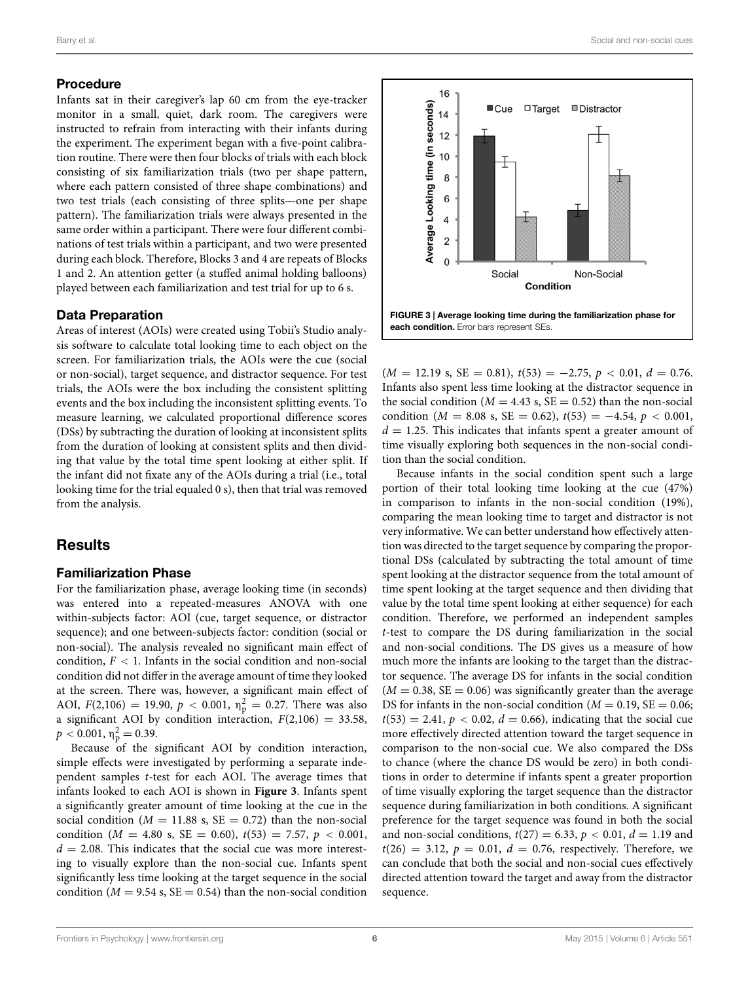#### Procedure

Infants sat in their caregiver's lap 60 cm from the eye-tracker monitor in a small, quiet, dark room. The caregivers were instructed to refrain from interacting with their infants during the experiment. The experiment began with a five-point calibration routine. There were then four blocks of trials with each block consisting of six familiarization trials (two per shape pattern, where each pattern consisted of three shape combinations) and two test trials (each consisting of three splits—one per shape pattern). The familiarization trials were always presented in the same order within a participant. There were four different combinations of test trials within a participant, and two were presented during each block. Therefore, Blocks 3 and 4 are repeats of Blocks 1 and 2. An attention getter (a stuffed animal holding balloons) played between each familiarization and test trial for up to 6 s.

## Data Preparation

Areas of interest (AOIs) were created using Tobii's Studio analysis software to calculate total looking time to each object on the screen. For familiarization trials, the AOIs were the cue (social or non-social), target sequence, and distractor sequence. For test trials, the AOIs were the box including the consistent splitting events and the box including the inconsistent splitting events. To measure learning, we calculated proportional difference scores (DSs) by subtracting the duration of looking at inconsistent splits from the duration of looking at consistent splits and then dividing that value by the total time spent looking at either split. If the infant did not fixate any of the AOIs during a trial (i.e., total looking time for the trial equaled 0 s), then that trial was removed from the analysis.

# **Results**

## Familiarization Phase

For the familiarization phase, average looking time (in seconds) was entered into a repeated-measures ANOVA with one within-subjects factor: AOI (cue, target sequence, or distractor sequence); and one between-subjects factor: condition (social or non-social). The analysis revealed no significant main effect of condition,  $F < 1$ . Infants in the social condition and non-social condition did not differ in the average amount of time they looked at the screen. There was, however, a significant main effect of AOI,  $F(2,106) = 19.90, p < 0.001, \eta_{p}^{2} = 0.27$ . There was also a significant AOI by condition interaction,  $F(2,106) = 33.58$ ,  $p < 0.001, \eta_{\rm p}^2 = 0.39.$ 

Because of the significant AOI by condition interaction, simple effects were investigated by performing a separate independent samples *t*-test for each AOI. The average times that infants looked to each AOI is shown in **[Figure 3](#page-5-0)**. Infants spent a significantly greater amount of time looking at the cue in the social condition ( $M = 11.88$  s,  $SE = 0.72$ ) than the non-social condition ( $M = 4.80$  s,  $SE = 0.60$ ),  $t(53) = 7.57$ ,  $p < 0.001$ ,  $d = 2.08$ . This indicates that the social cue was more interesting to visually explore than the non-social cue. Infants spent significantly less time looking at the target sequence in the social condition ( $M = 9.54$  s,  $SE = 0.54$ ) than the non-social condition



<span id="page-5-0"></span> $(M = 12.19 \text{ s}, \text{SE} = 0.81), t(53) = -2.75, p < 0.01, d = 0.76.$ Infants also spent less time looking at the distractor sequence in the social condition ( $M = 4.43$  s,  $SE = 0.52$ ) than the non-social condition ( $M = 8.08$  s, SE = 0.62),  $t(53) = -4.54$ ,  $p < 0.001$ ,  $d = 1.25$ . This indicates that infants spent a greater amount of time visually exploring both sequences in the non-social condition than the social condition.

Because infants in the social condition spent such a large portion of their total looking time looking at the cue (47%) in comparison to infants in the non-social condition (19%), comparing the mean looking time to target and distractor is not very informative. We can better understand how effectively attention was directed to the target sequence by comparing the proportional DSs (calculated by subtracting the total amount of time spent looking at the distractor sequence from the total amount of time spent looking at the target sequence and then dividing that value by the total time spent looking at either sequence) for each condition. Therefore, we performed an independent samples *t*-test to compare the DS during familiarization in the social and non-social conditions. The DS gives us a measure of how much more the infants are looking to the target than the distractor sequence. The average DS for infants in the social condition  $(M = 0.38, SE = 0.06)$  was significantly greater than the average DS for infants in the non-social condition ( $M = 0.19$ ,  $SE = 0.06$ ;  $t(53) = 2.41, p < 0.02, d = 0.66$ , indicating that the social cue more effectively directed attention toward the target sequence in comparison to the non-social cue. We also compared the DSs to chance (where the chance DS would be zero) in both conditions in order to determine if infants spent a greater proportion of time visually exploring the target sequence than the distractor sequence during familiarization in both conditions. A significant preference for the target sequence was found in both the social and non-social conditions,  $t(27) = 6.33$ ,  $p < 0.01$ ,  $d = 1.19$  and  $t(26) = 3.12, p = 0.01, d = 0.76$ , respectively. Therefore, we can conclude that both the social and non-social cues effectively directed attention toward the target and away from the distractor sequence.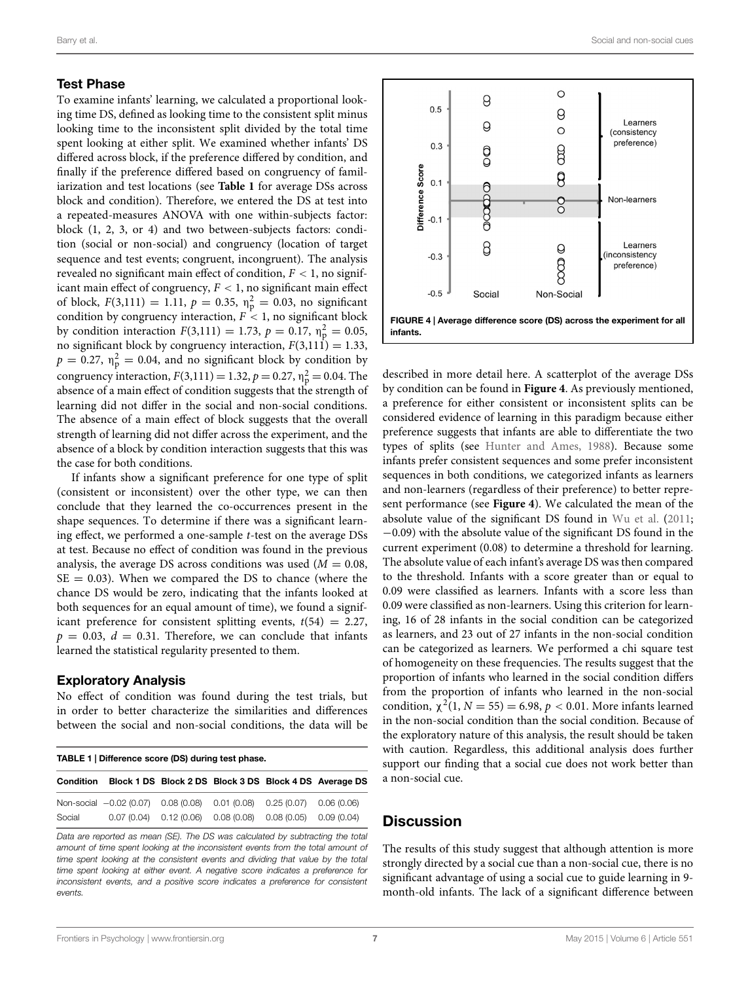#### Test Phase

To examine infants' learning, we calculated a proportional looking time DS, defined as looking time to the consistent split minus looking time to the inconsistent split divided by the total time spent looking at either split. We examined whether infants' DS differed across block, if the preference differed by condition, and finally if the preference differed based on congruency of familiarization and test locations (see **[Table 1](#page-6-0)** for average DSs across block and condition). Therefore, we entered the DS at test into a repeated-measures ANOVA with one within-subjects factor: block (1, 2, 3, or 4) and two between-subjects factors: condition (social or non-social) and congruency (location of target sequence and test events; congruent, incongruent). The analysis revealed no significant main effect of condition, *F <* 1, no significant main effect of congruency, *F <* 1, no significant main effect of block,  $F(3,111) = 1.11$ ,  $p = 0.35$ ,  $n_p^2 = 0.03$ , no significant condition by congruency interaction,  $F \leq 1$ , no significant block by condition interaction  $F(3,111) = 1.73$ ,  $p = 0.17$ ,  $n_p^2 = 0.05$ , no significant block by congruency interaction,  $F(3,11\text{1}) = 1.33$ ,  $p = 0.27$ ,  $\eta_p^2 = 0.04$ , and no significant block by condition by congruency interaction,  $F(3,111) = 1.32$ ,  $p = 0.27$ ,  $n_p^2 = 0.04$ . The absence of a main effect of condition suggests that the strength of learning did not differ in the social and non-social conditions. The absence of a main effect of block suggests that the overall strength of learning did not differ across the experiment, and the absence of a block by condition interaction suggests that this was the case for both conditions.

If infants show a significant preference for one type of split (consistent or inconsistent) over the other type, we can then conclude that they learned the co-occurrences present in the shape sequences. To determine if there was a significant learning effect, we performed a one-sample *t*-test on the average DSs at test. Because no effect of condition was found in the previous analysis, the average DS across conditions was used  $(M = 0.08,$  $SE = 0.03$ ). When we compared the DS to chance (where the chance DS would be zero, indicating that the infants looked at both sequences for an equal amount of time), we found a significant preference for consistent splitting events,  $t(54) = 2.27$ ,  $p = 0.03$ ,  $d = 0.31$ . Therefore, we can conclude that infants learned the statistical regularity presented to them.

#### Exploratory Analysis

No effect of condition was found during the test trials, but in order to better characterize the similarities and differences between the social and non-social conditions, the data will be

<span id="page-6-0"></span>

| TABLE 1   Difference score (DS) during test phase. |                                                                         |  |                                                                  |  |                                                        |
|----------------------------------------------------|-------------------------------------------------------------------------|--|------------------------------------------------------------------|--|--------------------------------------------------------|
| Condition                                          |                                                                         |  |                                                                  |  | Block 1 DS Block 2 DS Block 3 DS Block 4 DS Average DS |
| Social                                             | Non-social -0.02 (0.07) 0.08 (0.08) 0.01 (0.08) 0.25 (0.07) 0.06 (0.06) |  | $0.07(0.04)$ $0.12(0.06)$ $0.08(0.08)$ $0.08(0.05)$ $0.09(0.04)$ |  |                                                        |

*Data are reported as mean (SE). The DS was calculated by subtracting the total amount of time spent looking at the inconsistent events from the total amount of time spent looking at the consistent events and dividing that value by the total time spent looking at either event. A negative score indicates a preference for inconsistent events, and a positive score indicates a preference for consistent events.*



<span id="page-6-1"></span>described in more detail here. A scatterplot of the average DSs by condition can be found in **[Figure 4](#page-6-1)**. As previously mentioned, a preference for either consistent or inconsistent splits can be considered evidence of learning in this paradigm because either preference suggests that infants are able to differentiate the two types of splits (see [Hunter and Ames](#page-9-21), [1988\)](#page-9-21). Because some infants prefer consistent sequences and some prefer inconsistent sequences in both conditions, we categorized infants as learners and non-learners (regardless of their preference) to better represent performance (see **[Figure 4](#page-6-1)**). We calculated the mean of the absolute value of the significant DS found in [Wu et al.](#page-9-3) [\(2011](#page-9-3); −0.09) with the absolute value of the significant DS found in the current experiment (0.08) to determine a threshold for learning. The absolute value of each infant's average DS was then compared to the threshold. Infants with a score greater than or equal to 0.09 were classified as learners. Infants with a score less than 0.09 were classified as non-learners. Using this criterion for learning, 16 of 28 infants in the social condition can be categorized as learners, and 23 out of 27 infants in the non-social condition can be categorized as learners. We performed a chi square test of homogeneity on these frequencies. The results suggest that the proportion of infants who learned in the social condition differs from the proportion of infants who learned in the non-social condition,  $\chi^2(1, N = 55) = 6.98$ ,  $p < 0.01$ . More infants learned in the non-social condition than the social condition. Because of the exploratory nature of this analysis, the result should be taken with caution. Regardless, this additional analysis does further support our finding that a social cue does not work better than a non-social cue.

# **Discussion**

The results of this study suggest that although attention is more strongly directed by a social cue than a non-social cue, there is no significant advantage of using a social cue to guide learning in 9 month-old infants. The lack of a significant difference between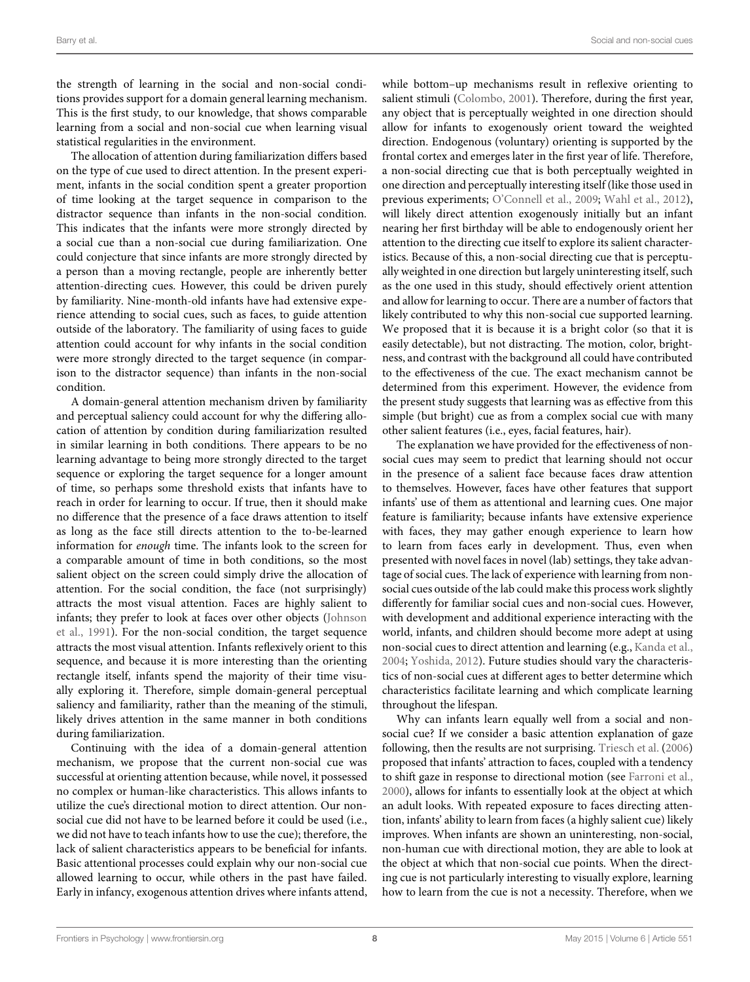the strength of learning in the social and non-social conditions provides support for a domain general learning mechanism. This is the first study, to our knowledge, that shows comparable learning from a social and non-social cue when learning visual statistical regularities in the environment.

The allocation of attention during familiarization differs based on the type of cue used to direct attention. In the present experiment, infants in the social condition spent a greater proportion of time looking at the target sequence in comparison to the distractor sequence than infants in the non-social condition. This indicates that the infants were more strongly directed by a social cue than a non-social cue during familiarization. One could conjecture that since infants are more strongly directed by a person than a moving rectangle, people are inherently better attention-directing cues. However, this could be driven purely by familiarity. Nine-month-old infants have had extensive experience attending to social cues, such as faces, to guide attention outside of the laboratory. The familiarity of using faces to guide attention could account for why infants in the social condition were more strongly directed to the target sequence (in comparison to the distractor sequence) than infants in the non-social condition.

A domain-general attention mechanism driven by familiarity and perceptual saliency could account for why the differing allocation of attention by condition during familiarization resulted in similar learning in both conditions. There appears to be no learning advantage to being more strongly directed to the target sequence or exploring the target sequence for a longer amount of time, so perhaps some threshold exists that infants have to reach in order for learning to occur. If true, then it should make no difference that the presence of a face draws attention to itself as long as the face still directs attention to the to-be-learned information for *enough* time. The infants look to the screen for a comparable amount of time in both conditions, so the most salient object on the screen could simply drive the allocation of attention. For the social condition, the face (not surprisingly) attracts the most visual attention. Faces are highly salient to infa[nts; they prefer to look at faces over other objects \(](#page-9-6)Johnson et al., [1991\)](#page-9-6). For the non-social condition, the target sequence attracts the most visual attention. Infants reflexively orient to this sequence, and because it is more interesting than the orienting rectangle itself, infants spend the majority of their time visually exploring it. Therefore, simple domain-general perceptual saliency and familiarity, rather than the meaning of the stimuli, likely drives attention in the same manner in both conditions during familiarization.

Continuing with the idea of a domain-general attention mechanism, we propose that the current non-social cue was successful at orienting attention because, while novel, it possessed no complex or human-like characteristics. This allows infants to utilize the cue's directional motion to direct attention. Our nonsocial cue did not have to be learned before it could be used (i.e., we did not have to teach infants how to use the cue); therefore, the lack of salient characteristics appears to be beneficial for infants. Basic attentional processes could explain why our non-social cue allowed learning to occur, while others in the past have failed. Early in infancy, exogenous attention drives where infants attend,

while bottom–up mechanisms result in reflexive orienting to salient stimuli [\(Colombo](#page-8-9), [2001](#page-8-9)). Therefore, during the first year, any object that is perceptually weighted in one direction should allow for infants to exogenously orient toward the weighted direction. Endogenous (voluntary) orienting is supported by the frontal cortex and emerges later in the first year of life. Therefore, a non-social directing cue that is both perceptually weighted in one direction and perceptually interesting itself (like those used in previous experiments; [O'Connell et al., 2009;](#page-9-16) [Wahl et al., 2012\)](#page-9-17), will likely direct attention exogenously initially but an infant nearing her first birthday will be able to endogenously orient her attention to the directing cue itself to explore its salient characteristics. Because of this, a non-social directing cue that is perceptually weighted in one direction but largely uninteresting itself, such as the one used in this study, should effectively orient attention and allow for learning to occur. There are a number of factors that likely contributed to why this non-social cue supported learning. We proposed that it is because it is a bright color (so that it is easily detectable), but not distracting. The motion, color, brightness, and contrast with the background all could have contributed to the effectiveness of the cue. The exact mechanism cannot be determined from this experiment. However, the evidence from the present study suggests that learning was as effective from this simple (but bright) cue as from a complex social cue with many other salient features (i.e., eyes, facial features, hair).

The explanation we have provided for the effectiveness of nonsocial cues may seem to predict that learning should not occur in the presence of a salient face because faces draw attention to themselves. However, faces have other features that support infants' use of them as attentional and learning cues. One major feature is familiarity; because infants have extensive experience with faces, they may gather enough experience to learn how to learn from faces early in development. Thus, even when presented with novel faces in novel (lab) settings, they take advantage of social cues. The lack of experience with learning from nonsocial cues outside of the lab could make this process work slightly differently for familiar social cues and non-social cues. However, with development and additional experience interacting with the world, infants, and children should become more adept at using non-social cues to direct attention and learning (e.g., [Kanda et al.](#page-9-22), [2004;](#page-9-22) [Yoshida](#page-9-23), [2012\)](#page-9-23). Future studies should vary the characteristics of non-social cues at different ages to better determine which characteristics facilitate learning and which complicate learning throughout the lifespan.

Why can infants learn equally well from a social and nonsocial cue? If we consider a basic attention explanation of gaze following, then the results are not surprising. [Triesch et al.](#page-9-7) [\(2006\)](#page-9-7) proposed that infants' attraction to faces, coupled with a tendency to shift gaze in response to directional motion (see [Farroni et al.](#page-8-11), [2000\)](#page-8-11), allows for infants to essentially look at the object at which an adult looks. With repeated exposure to faces directing attention, infants' ability to learn from faces (a highly salient cue) likely improves. When infants are shown an uninteresting, non-social, non-human cue with directional motion, they are able to look at the object at which that non-social cue points. When the directing cue is not particularly interesting to visually explore, learning how to learn from the cue is not a necessity. Therefore, when we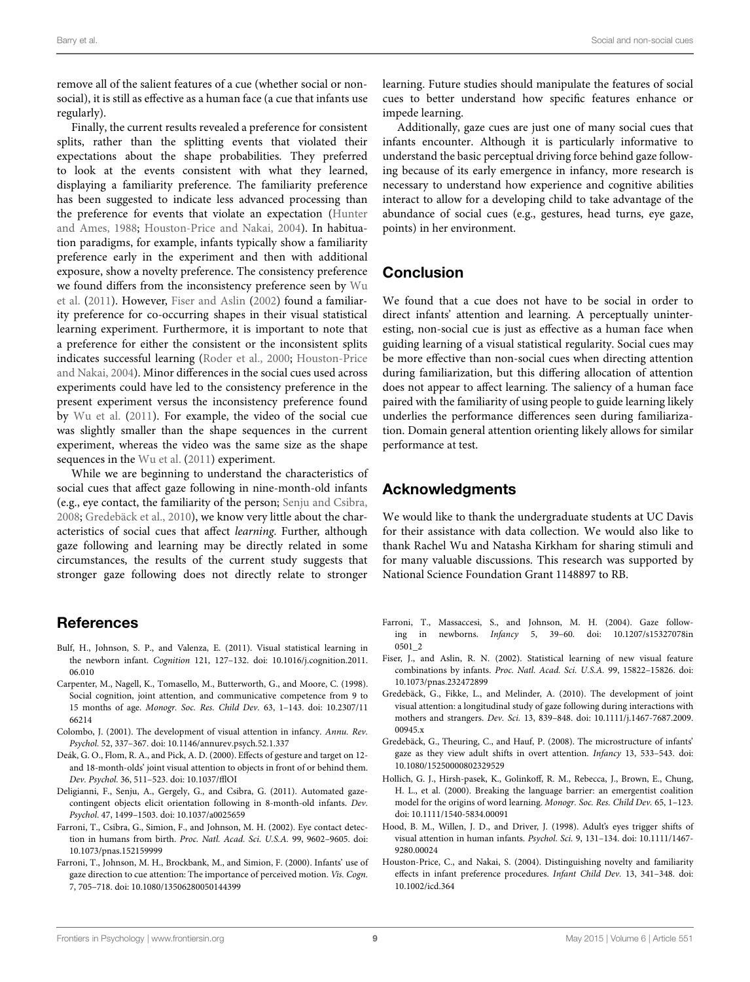remove all of the salient features of a cue (whether social or nonsocial), it is still as effective as a human face (a cue that infants use regularly).

Finally, the current results revealed a preference for consistent splits, rather than the splitting events that violated their expectations about the shape probabilities. They preferred to look at the events consistent with what they learned, displaying a familiarity preference. The familiarity preference has been suggested to indicate less advanced processing than the prefer[ence for events that violate an expectation \(](#page-9-21)Hunter and Ames, [1988;](#page-9-21) [Houston-Price and Nakai, 2004\)](#page-8-12). In habituation paradigms, for example, infants typically show a familiarity preference early in the experiment and then with additional exposure, show a novelty preference. The consistency preference we f[ound](#page-9-3) [differs](#page-9-3) [from](#page-9-3) [the](#page-9-3) [inconsistency](#page-9-3) [preference](#page-9-3) [seen](#page-9-3) [by](#page-9-3) Wu et al. [\(2011](#page-9-3)). However, [Fiser and Aslin](#page-8-0) [\(2002](#page-8-0)) found a familiarity preference for co-occurring shapes in their visual statistical learning experiment. Furthermore, it is important to note that a preference for either the consistent or the inconsistent splits indicates [successful learning](#page-8-12) [\(Roder et al., 2000](#page-9-24)[;](#page-8-12) Houston-Price and Nakai, [2004](#page-8-12)). Minor differences in the social cues used across experiments could have led to the consistency preference in the present experiment versus the inconsistency preference found by [Wu et al.](#page-9-3) [\(2011](#page-9-3)). For example, the video of the social cue was slightly smaller than the shape sequences in the current experiment, whereas the video was the same size as the shape sequences in the [Wu et al.](#page-9-3) [\(2011\)](#page-9-3) experiment.

While we are beginning to understand the characteristics of social cues that affect gaze following in nine-month-old infants (e.g., eye contact, the familiarity of the person; [Senju and Csibra,](#page-9-25) [2008](#page-9-25); [Gredebäck et al.](#page-8-13), [2010\)](#page-8-13), we know very little about the characteristics of social cues that affect *learning*. Further, although gaze following and learning may be directly related in some circumstances, the results of the current study suggests that stronger gaze following does not directly relate to stronger

# References

- <span id="page-8-1"></span>Bulf, H., Johnson, S. P., and Valenza, E. (2011). Visual statistical learning in the newborn infant. *Cognition* 121, 127–132. doi: 10.1016/j.cognition.2011. 06.010
- <span id="page-8-2"></span>Carpenter, M., Nagell, K., Tomasello, M., Butterworth, G., and Moore, C. (1998). Social cognition, joint attention, and communicative competence from 9 to 15 months of age. *Monogr. Soc. Res. Child Dev.* 63, 1–143. doi: 10.2307/11 66214
- <span id="page-8-9"></span>Colombo, J. (2001). The development of visual attention in infancy. *Annu. Rev. Psychol.* 52, 337–367. doi: 10.1146/annurev.psych.52.1.337
- <span id="page-8-3"></span>Deák, G. O., Flom, R. A., and Pick, A. D. (2000). Effects of gesture and target on 12 and 18-month-olds' joint visual attention to objects in front of or behind them. *Dev. Psychol.* 36, 511–523. doi: 10.1037/fflOI
- <span id="page-8-8"></span>Deligianni, F., Senju, A., Gergely, G., and Csibra, G. (2011). Automated gazecontingent objects elicit orientation following in 8-month-old infants. *Dev. Psychol.* 47, 1499–1503. doi: 10.1037/a0025659
- <span id="page-8-5"></span>Farroni, T., Csibra, G., Simion, F., and Johnson, M. H. (2002). Eye contact detection in humans from birth. *Proc. Natl. Acad. Sci. U.S.A.* 99, 9602–9605. doi: 10.1073/pnas.152159999
- <span id="page-8-11"></span>Farroni, T., Johnson, M. H., Brockbank, M., and Simion, F. (2000). Infants' use of gaze direction to cue attention: The importance of perceived motion. *Vis. Cogn.* 7, 705–718. doi: 10.1080/13506280050144399

learning. Future studies should manipulate the features of social cues to better understand how specific features enhance or impede learning.

Additionally, gaze cues are just one of many social cues that infants encounter. Although it is particularly informative to understand the basic perceptual driving force behind gaze following because of its early emergence in infancy, more research is necessary to understand how experience and cognitive abilities interact to allow for a developing child to take advantage of the abundance of social cues (e.g., gestures, head turns, eye gaze, points) in her environment.

# Conclusion

We found that a cue does not have to be social in order to direct infants' attention and learning. A perceptually uninteresting, non-social cue is just as effective as a human face when guiding learning of a visual statistical regularity. Social cues may be more effective than non-social cues when directing attention during familiarization, but this differing allocation of attention does not appear to affect learning. The saliency of a human face paired with the familiarity of using people to guide learning likely underlies the performance differences seen during familiarization. Domain general attention orienting likely allows for similar performance at test.

# Acknowledgments

We would like to thank the undergraduate students at UC Davis for their assistance with data collection. We would also like to thank Rachel Wu and Natasha Kirkham for sharing stimuli and for many valuable discussions. This research was supported by National Science Foundation Grant 1148897 to RB.

- <span id="page-8-6"></span>Farroni, T., Massaccesi, S., and Johnson, M. H. (2004). Gaze following in newborns. *Infancy* 5, 39–60. doi: 10.1207/s15327078in 0501\_2
- <span id="page-8-0"></span>Fiser, J., and Aslin, R. N. (2002). Statistical learning of new visual feature combinations by infants. *Proc. Natl. Acad. Sci. U.S.A.* 99, 15822–15826. doi: 10.1073/pnas.232472899
- <span id="page-8-13"></span>Gredebäck, G., Fikke, L., and Melinder, A. (2010). The development of joint visual attention: a longitudinal study of gaze following during interactions with mothers and strangers. *Dev. Sci.* 13, 839–848. doi: 10.1111/j.1467-7687.2009. 00945.x
- <span id="page-8-10"></span>Gredebäck, G., Theuring, C., and Hauf, P. (2008). The microstructure of infants' gaze as they view adult shifts in overt attention. *Infancy* 13, 533–543. doi: 10.1080/15250000802329529
- <span id="page-8-4"></span>Hollich, G. J., Hirsh-pasek, K., Golinkoff, R. M., Rebecca, J., Brown, E., Chung, H. L., et al. (2000). Breaking the language barrier: an emergentist coalition model for the origins of word learning. *Monogr. Soc. Res. Child Dev.* 65, 1–123. doi: 10.1111/1540-5834.00091
- <span id="page-8-7"></span>Hood, B. M., Willen, J. D., and Driver, J. (1998). Adult's eyes trigger shifts of visual attention in human infants. *Psychol. Sci.* 9, 131–134. doi: 10.1111/1467- 9280.00024
- <span id="page-8-12"></span>Houston-Price, C., and Nakai, S. (2004). Distinguishing novelty and familiarity effects in infant preference procedures. *Infant Child Dev.* 13, 341–348. doi: 10.1002/icd.364